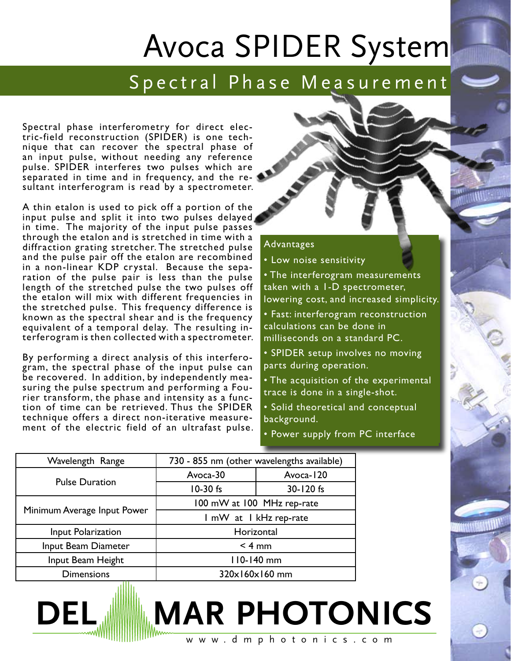## Avoca SPIDER System

## S p e c t r a l P h a s e M e a s u r e m e n t

Spectral phase interferometry for direct electric-field reconstruction (SPIDER) is one technique that can recover the spectral phase of an input pulse, without needing any reference pulse. SPIDER interferes two pulses which are separated in time and in frequency, and the resultant interferogram is read by a spectrometer.

A thin etalon is used to pick off a portion of the input pulse and split it into two pulses delayed in time. The majority of the input pulse passes through the etalon and is stretched in time with a diffraction grating stretcher. The stretched pulse and the pulse pair off the etalon are recombined in a non-linear KDP crystal. Because the separation of the pulse pair is less than the pulse length of the stretched pulse the two pulses off the etalon will mix with different frequencies in the stretched pulse. This frequency difference is known as the spectral shear and is the frequency equivalent of a temporal delay. The resulting interferogram is then collected with a spectrometer.

By performing a direct analysis of this interferogram, the spectral phase of the input pulse can be recovered. In addition, by independently measuring the pulse spectrum and performing a Fourier transform, the phase and intensity as a function of time can be retrieved. Thus the SPIDER technique offers a direct non-iterative measurement of the electric field of an ultrafast pulse.



• Low noise sensitivity

• The interferogram measurements taken with a 1-D spectrometer, lowering cost, and increased simplicity.

• Fast: interferogram reconstruction calculations can be done in milliseconds on a standard PC.

• SPIDER setup involves no moving parts during operation.

• The acquisition of the experimental trace is done in a single-shot.

• Solid theoretical and conceptual background.

• Power supply from PC interface

| Wavelength Range            | 730 - 855 nm (other wavelengths available) |           |
|-----------------------------|--------------------------------------------|-----------|
| <b>Pulse Duration</b>       | Avoca-30                                   | Avoca-120 |
|                             | 10-30 fs                                   | 30-120 fs |
| Minimum Average Input Power | 100 mW at 100 MHz rep-rate                 |           |
|                             | I mW at I kHz rep-rate                     |           |
| Input Polarization          | Horizontal                                 |           |
| Input Beam Diameter         | $< 4$ mm                                   |           |
| Input Beam Height           | 110-140 mm                                 |           |
| <b>Dimensions</b><br>. .    | 320x160x160 mm                             |           |